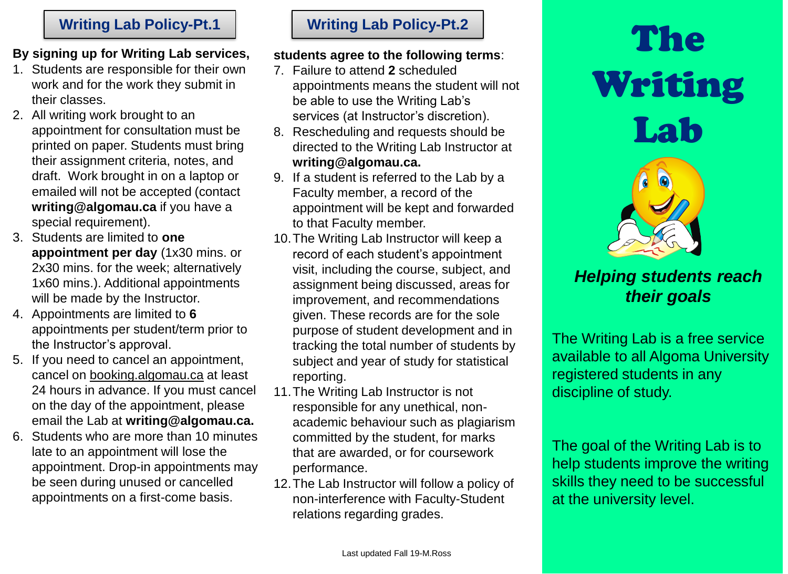## **By signing up for Writing Lab services,**

- 1. Students are responsible for their own work and for the work they submit in their classes.
- 2. All writing work brought to an appointment for consultation must be printed on paper. Students must bring their assignment criteria, notes, and draft. Work brought in on a laptop or emailed will not be accepted (contact **writing@algomau.ca** if you have a special requirement).
- 3. Students are limited to **one appointment per day** (1x30 mins. or 2x30 mins. for the week; alternatively 1x60 mins.). Additional appointments will be made by the Instructor.
- 4. Appointments are limited to **6**  appointments per student/term prior to the Instructor's approval.
- 5. If you need to cancel an appointment, cancel on booking.algomau.ca at least 24 hours in advance. If you must cancel on the day of the appointment, please email the Lab at **writing@algomau.ca.**
- 6. Students who are more than 10 minutes late to an appointment will lose the appointment. Drop-in appointments may be seen during unused or cancelled appointments on a first-come basis.

### **students agree to the following terms**:

- 7. Failure to attend **2** scheduled appointments means the student will not be able to use the Writing Lab's services (at Instructor's discretion).
- 8. Rescheduling and requests should be directed to the Writing Lab Instructor at **writing@algomau.ca.**
- 9. If a student is referred to the Lab by a Faculty member, a record of the appointment will be kept and forwarded to that Faculty member.
- 10.The Writing Lab Instructor will keep a record of each student's appointment visit, including the course, subject, and assignment being discussed, areas for improvement, and recommendations given. These records are for the sole purpose of student development and in tracking the total number of students by subject and year of study for statistical reporting.
- 11.The Writing Lab Instructor is not responsible for any unethical, nonacademic behaviour such as plagiarism committed by the student, for marks that are awarded, or for coursework performance.
- 12.The Lab Instructor will follow a policy of non-interference with Faculty-Student relations regarding grades.

# **Writing Lab Policy-Pt.1 Writing Lab Policy-Pt.2**<br>
ing up for Writing Lab services. Students agree to the following terms: Writing Lab



# *Helping students reach their goals*

The Writing Lab is a free service available to all Algoma University registered students in any discipline of study.

The goal of the Writing Lab is to help students improve the writing skills they need to be successful at the university level.